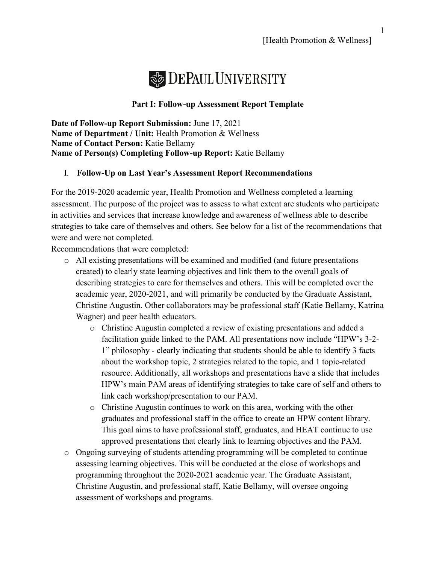

## **Part I: Follow-up Assessment Report Template**

**Date of Follow-up Report Submission:** June 17, 2021 **Name of Department / Unit:** Health Promotion & Wellness **Name of Contact Person:** Katie Bellamy **Name of Person(s) Completing Follow-up Report:** Katie Bellamy

## I. **Follow-Up on Last Year's Assessment Report Recommendations**

For the 2019-2020 academic year, Health Promotion and Wellness completed a learning assessment. The purpose of the project was to assess to what extent are students who participate in activities and services that increase knowledge and awareness of wellness able to describe strategies to take care of themselves and others. See below for a list of the recommendations that were and were not completed.

Recommendations that were completed:

- o All existing presentations will be examined and modified (and future presentations created) to clearly state learning objectives and link them to the overall goals of describing strategies to care for themselves and others. This will be completed over the academic year, 2020-2021, and will primarily be conducted by the Graduate Assistant, Christine Augustin. Other collaborators may be professional staff (Katie Bellamy, Katrina Wagner) and peer health educators.
	- o Christine Augustin completed a review of existing presentations and added a facilitation guide linked to the PAM. All presentations now include "HPW's 3-2- 1" philosophy - clearly indicating that students should be able to identify 3 facts about the workshop topic, 2 strategies related to the topic, and 1 topic-related resource. Additionally, all workshops and presentations have a slide that includes HPW's main PAM areas of identifying strategies to take care of self and others to link each workshop/presentation to our PAM.
	- o Christine Augustin continues to work on this area, working with the other graduates and professional staff in the office to create an HPW content library. This goal aims to have professional staff, graduates, and HEAT continue to use approved presentations that clearly link to learning objectives and the PAM.
- o Ongoing surveying of students attending programming will be completed to continue assessing learning objectives. This will be conducted at the close of workshops and programming throughout the 2020-2021 academic year. The Graduate Assistant, Christine Augustin, and professional staff, Katie Bellamy, will oversee ongoing assessment of workshops and programs.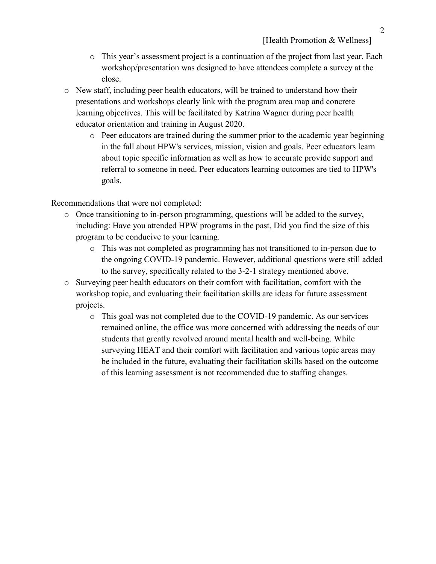- o This year's assessment project is a continuation of the project from last year. Each workshop/presentation was designed to have attendees complete a survey at the close.
- o New staff, including peer health educators, will be trained to understand how their presentations and workshops clearly link with the program area map and concrete learning objectives. This will be facilitated by Katrina Wagner during peer health educator orientation and training in August 2020.
	- o Peer educators are trained during the summer prior to the academic year beginning in the fall about HPW's services, mission, vision and goals. Peer educators learn about topic specific information as well as how to accurate provide support and referral to someone in need. Peer educators learning outcomes are tied to HPW's goals.

Recommendations that were not completed:

- o Once transitioning to in-person programming, questions will be added to the survey, including: Have you attended HPW programs in the past, Did you find the size of this program to be conducive to your learning.
	- o This was not completed as programming has not transitioned to in-person due to the ongoing COVID-19 pandemic. However, additional questions were still added to the survey, specifically related to the 3-2-1 strategy mentioned above.
- o Surveying peer health educators on their comfort with facilitation, comfort with the workshop topic, and evaluating their facilitation skills are ideas for future assessment projects.
	- o This goal was not completed due to the COVID-19 pandemic. As our services remained online, the office was more concerned with addressing the needs of our students that greatly revolved around mental health and well-being. While surveying HEAT and their comfort with facilitation and various topic areas may be included in the future, evaluating their facilitation skills based on the outcome of this learning assessment is not recommended due to staffing changes.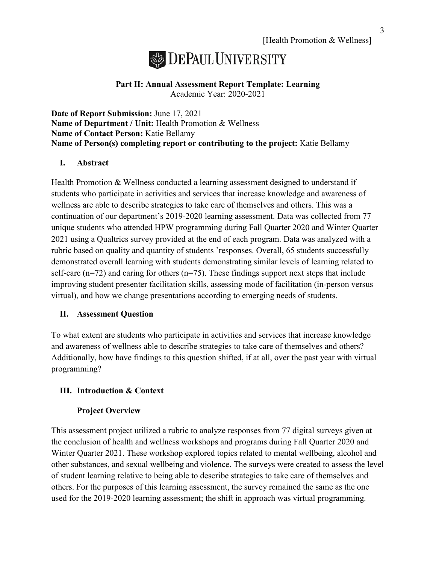## **DEPAUL UNIVERSITY**

## **Part II: Annual Assessment Report Template: Learning** Academic Year: 2020-2021

**Date of Report Submission:** June 17, 2021 **Name of Department / Unit:** Health Promotion & Wellness **Name of Contact Person:** Katie Bellamy **Name of Person(s) completing report or contributing to the project:** Katie Bellamy

## **I. Abstract**

Health Promotion & Wellness conducted a learning assessment designed to understand if students who participate in activities and services that increase knowledge and awareness of wellness are able to describe strategies to take care of themselves and others. This was a continuation of our department's 2019-2020 learning assessment. Data was collected from 77 unique students who attended HPW programming during Fall Quarter 2020 and Winter Quarter 2021 using a Qualtrics survey provided at the end of each program. Data was analyzed with a rubric based on quality and quantity of students 'responses. Overall, 65 students successfully demonstrated overall learning with students demonstrating similar levels of learning related to self-care  $(n=72)$  and caring for others  $(n=75)$ . These findings support next steps that include improving student presenter facilitation skills, assessing mode of facilitation (in-person versus virtual), and how we change presentations according to emerging needs of students.

## **II. Assessment Question**

To what extent are students who participate in activities and services that increase knowledge and awareness of wellness able to describe strategies to take care of themselves and others? Additionally, how have findings to this question shifted, if at all, over the past year with virtual programming?

## **III. Introduction & Context**

## **Project Overview**

This assessment project utilized a rubric to analyze responses from 77 digital surveys given at the conclusion of health and wellness workshops and programs during Fall Quarter 2020 and Winter Quarter 2021. These workshop explored topics related to mental wellbeing, alcohol and other substances, and sexual wellbeing and violence. The surveys were created to assess the level of student learning relative to being able to describe strategies to take care of themselves and others. For the purposes of this learning assessment, the survey remained the same as the one used for the 2019-2020 learning assessment; the shift in approach was virtual programming.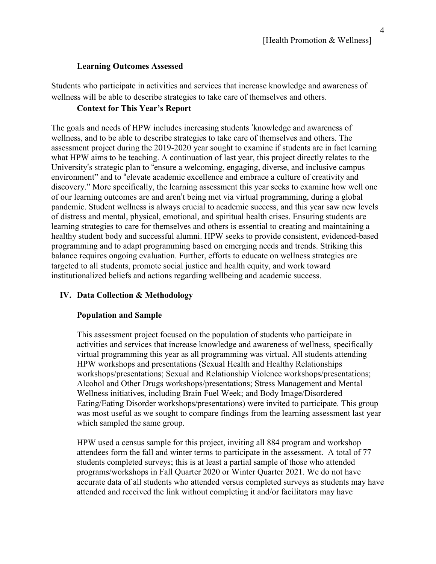#### **Learning Outcomes Assessed**

Students who participate in activities and services that increase knowledge and awareness of wellness will be able to describe strategies to take care of themselves and others.

## **Context for This Year's Report**

The goals and needs of HPW includes increasing students 'knowledge and awareness of wellness, and to be able to describe strategies to take care of themselves and others. The assessment project during the 2019-2020 year sought to examine if students are in fact learning what HPW aims to be teaching. A continuation of last year, this project directly relates to the University's strategic plan to "ensure a welcoming, engaging, diverse, and inclusive campus environment" and to "elevate academic excellence and embrace a culture of creativity and discovery." More specifically, the learning assessment this year seeks to examine how well one of our learning outcomes are and aren't being met via virtual programming, during a global pandemic. Student wellness is always crucial to academic success, and this year saw new levels of distress and mental, physical, emotional, and spiritual health crises. Ensuring students are learning strategies to care for themselves and others is essential to creating and maintaining a healthy student body and successful alumni. HPW seeks to provide consistent, evidenced-based programming and to adapt programming based on emerging needs and trends. Striking this balance requires ongoing evaluation. Further, efforts to educate on wellness strategies are targeted to all students, promote social justice and health equity, and work toward institutionalized beliefs and actions regarding wellbeing and academic success.

### **IV. Data Collection & Methodology**

### **Population and Sample**

This assessment project focused on the population of students who participate in activities and services that increase knowledge and awareness of wellness, specifically virtual programming this year as all programming was virtual. All students attending HPW workshops and presentations (Sexual Health and Healthy Relationships workshops/presentations; Sexual and Relationship Violence workshops/presentations; Alcohol and Other Drugs workshops/presentations; Stress Management and Mental Wellness initiatives, including Brain Fuel Week; and Body Image/Disordered Eating/Eating Disorder workshops/presentations) were invited to participate. This group was most useful as we sought to compare findings from the learning assessment last year which sampled the same group.

HPW used a census sample for this project, inviting all 884 program and workshop attendees form the fall and winter terms to participate in the assessment. A total of 77 students completed surveys; this is at least a partial sample of those who attended programs/workshops in Fall Quarter 2020 or Winter Quarter 2021. We do not have accurate data of all students who attended versus completed surveys as students may have attended and received the link without completing it and/or facilitators may have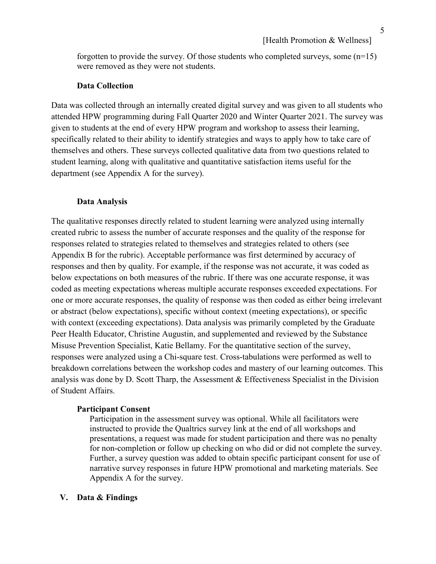forgotten to provide the survey. Of those students who completed surveys, some  $(n=15)$ were removed as they were not students.

#### **Data Collection**

Data was collected through an internally created digital survey and was given to all students who attended HPW programming during Fall Quarter 2020 and Winter Quarter 2021. The survey was given to students at the end of every HPW program and workshop to assess their learning, specifically related to their ability to identify strategies and ways to apply how to take care of themselves and others. These surveys collected qualitative data from two questions related to student learning, along with qualitative and quantitative satisfaction items useful for the department (see Appendix A for the survey).

#### **Data Analysis**

The qualitative responses directly related to student learning were analyzed using internally created rubric to assess the number of accurate responses and the quality of the response for responses related to strategies related to themselves and strategies related to others (see Appendix B for the rubric). Acceptable performance was first determined by accuracy of responses and then by quality. For example, if the response was not accurate, it was coded as below expectations on both measures of the rubric. If there was one accurate response, it was coded as meeting expectations whereas multiple accurate responses exceeded expectations. For one or more accurate responses, the quality of response was then coded as either being irrelevant or abstract (below expectations), specific without context (meeting expectations), or specific with context (exceeding expectations). Data analysis was primarily completed by the Graduate Peer Health Educator, Christine Augustin, and supplemented and reviewed by the Substance Misuse Prevention Specialist, Katie Bellamy. For the quantitative section of the survey, responses were analyzed using a Chi-square test. Cross-tabulations were performed as well to breakdown correlations between the workshop codes and mastery of our learning outcomes. This analysis was done by D. Scott Tharp, the Assessment & Effectiveness Specialist in the Division of Student Affairs.

#### **Participant Consent**

Participation in the assessment survey was optional. While all facilitators were instructed to provide the Qualtrics survey link at the end of all workshops and presentations, a request was made for student participation and there was no penalty for non-completion or follow up checking on who did or did not complete the survey. Further, a survey question was added to obtain specific participant consent for use of narrative survey responses in future HPW promotional and marketing materials. See Appendix A for the survey.

#### **V. Data & Findings**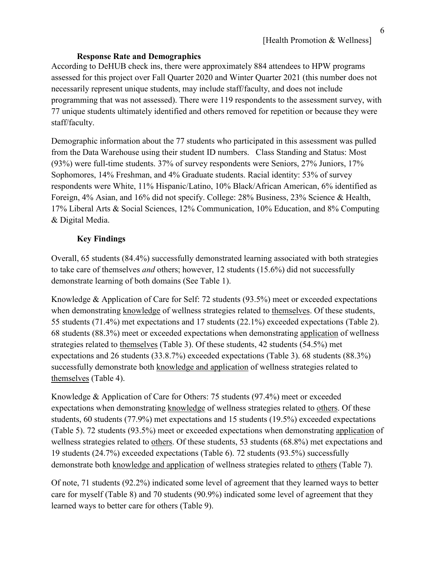## **Response Rate and Demographics**

According to DeHUB check ins, there were approximately 884 attendees to HPW programs assessed for this project over Fall Quarter 2020 and Winter Quarter 2021 (this number does not necessarily represent unique students, may include staff/faculty, and does not include programming that was not assessed). There were 119 respondents to the assessment survey, with 77 unique students ultimately identified and others removed for repetition or because they were staff/faculty.

Demographic information about the 77 students who participated in this assessment was pulled from the Data Warehouse using their student ID numbers. Class Standing and Status: Most (93%) were full-time students. 37% of survey respondents were Seniors, 27% Juniors, 17% Sophomores, 14% Freshman, and 4% Graduate students. Racial identity: 53% of survey respondents were White, 11% Hispanic/Latino, 10% Black/African American, 6% identified as Foreign, 4% Asian, and 16% did not specify. College: 28% Business, 23% Science & Health, 17% Liberal Arts & Social Sciences, 12% Communication, 10% Education, and 8% Computing & Digital Media.

## **Key Findings**

Overall, 65 students (84.4%) successfully demonstrated learning associated with both strategies to take care of themselves *and* others; however, 12 students (15.6%) did not successfully demonstrate learning of both domains (See Table 1).

Knowledge & Application of Care for Self: 72 students (93.5%) meet or exceeded expectations when demonstrating knowledge of wellness strategies related to themselves. Of these students, 55 students (71.4%) met expectations and 17 students (22.1%) exceeded expectations (Table 2). 68 students (88.3%) meet or exceeded expectations when demonstrating application of wellness strategies related to themselves (Table 3). Of these students, 42 students (54.5%) met expectations and 26 students (33.8.7%) exceeded expectations (Table 3). 68 students (88.3%) successfully demonstrate both knowledge and application of wellness strategies related to themselves (Table 4).

Knowledge & Application of Care for Others: 75 students (97.4%) meet or exceeded expectations when demonstrating knowledge of wellness strategies related to others. Of these students, 60 students (77.9%) met expectations and 15 students (19.5%) exceeded expectations (Table 5). 72 students (93.5%) meet or exceeded expectations when demonstrating application of wellness strategies related to others. Of these students, 53 students (68.8%) met expectations and 19 students (24.7%) exceeded expectations (Table 6). 72 students (93.5%) successfully demonstrate both knowledge and application of wellness strategies related to others (Table 7).

Of note, 71 students (92.2%) indicated some level of agreement that they learned ways to better care for myself (Table 8) and 70 students (90.9%) indicated some level of agreement that they learned ways to better care for others (Table 9).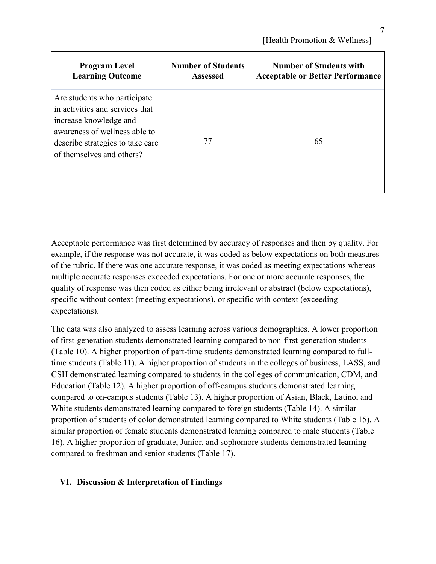| <b>Program Level</b>                                                                                                                                                                        | <b>Number of Students</b> | <b>Number of Students with</b>          |
|---------------------------------------------------------------------------------------------------------------------------------------------------------------------------------------------|---------------------------|-----------------------------------------|
| <b>Learning Outcome</b>                                                                                                                                                                     | <b>Assessed</b>           | <b>Acceptable or Better Performance</b> |
| Are students who participate<br>in activities and services that<br>increase knowledge and<br>awareness of wellness able to<br>describe strategies to take care<br>of themselves and others? | 77                        | 65                                      |

Acceptable performance was first determined by accuracy of responses and then by quality. For example, if the response was not accurate, it was coded as below expectations on both measures of the rubric. If there was one accurate response, it was coded as meeting expectations whereas multiple accurate responses exceeded expectations. For one or more accurate responses, the quality of response was then coded as either being irrelevant or abstract (below expectations), specific without context (meeting expectations), or specific with context (exceeding expectations).

The data was also analyzed to assess learning across various demographics. A lower proportion of first-generation students demonstrated learning compared to non-first-generation students (Table 10). A higher proportion of part-time students demonstrated learning compared to fulltime students (Table 11). A higher proportion of students in the colleges of business, LASS, and CSH demonstrated learning compared to students in the colleges of communication, CDM, and Education (Table 12). A higher proportion of off-campus students demonstrated learning compared to on-campus students (Table 13). A higher proportion of Asian, Black, Latino, and White students demonstrated learning compared to foreign students (Table 14). A similar proportion of students of color demonstrated learning compared to White students (Table 15). A similar proportion of female students demonstrated learning compared to male students (Table 16). A higher proportion of graduate, Junior, and sophomore students demonstrated learning compared to freshman and senior students (Table 17).

## **VI. Discussion & Interpretation of Findings**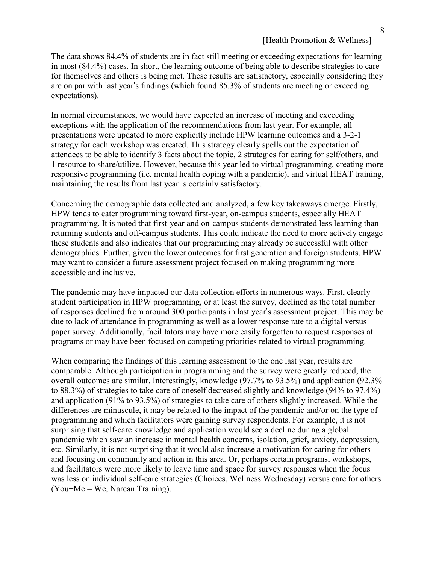#### [Health Promotion & Wellness]

The data shows 84.4% of students are in fact still meeting or exceeding expectations for learning in most (84.4%) cases. In short, the learning outcome of being able to describe strategies to care for themselves and others is being met. These results are satisfactory, especially considering they are on par with last year's findings (which found 85.3% of students are meeting or exceeding expectations).

In normal circumstances, we would have expected an increase of meeting and exceeding exceptions with the application of the recommendations from last year. For example, all presentations were updated to more explicitly include HPW learning outcomes and a 3-2-1 strategy for each workshop was created. This strategy clearly spells out the expectation of attendees to be able to identify 3 facts about the topic, 2 strategies for caring for self/others, and 1 resource to share/utilize. However, because this year led to virtual programming, creating more responsive programming (i.e. mental health coping with a pandemic), and virtual HEAT training, maintaining the results from last year is certainly satisfactory.

Concerning the demographic data collected and analyzed, a few key takeaways emerge. Firstly, HPW tends to cater programming toward first-year, on-campus students, especially HEAT programming. It is noted that first-year and on-campus students demonstrated less learning than returning students and off-campus students. This could indicate the need to more actively engage these students and also indicates that our programming may already be successful with other demographics. Further, given the lower outcomes for first generation and foreign students, HPW may want to consider a future assessment project focused on making programming more accessible and inclusive.

The pandemic may have impacted our data collection efforts in numerous ways. First, clearly student participation in HPW programming, or at least the survey, declined as the total number of responses declined from around 300 participants in last year's assessment project. This may be due to lack of attendance in programming as well as a lower response rate to a digital versus paper survey. Additionally, facilitators may have more easily forgotten to request responses at programs or may have been focused on competing priorities related to virtual programming.

When comparing the findings of this learning assessment to the one last year, results are comparable. Although participation in programming and the survey were greatly reduced, the overall outcomes are similar. Interestingly, knowledge (97.7% to 93.5%) and application (92.3% to 88.3%) of strategies to take care of oneself decreased slightly and knowledge (94% to 97.4%) and application (91% to 93.5%) of strategies to take care of others slightly increased. While the differences are minuscule, it may be related to the impact of the pandemic and/or on the type of programming and which facilitators were gaining survey respondents. For example, it is not surprising that self-care knowledge and application would see a decline during a global pandemic which saw an increase in mental health concerns, isolation, grief, anxiety, depression, etc. Similarly, it is not surprising that it would also increase a motivation for caring for others and focusing on community and action in this area. Or, perhaps certain programs, workshops, and facilitators were more likely to leave time and space for survey responses when the focus was less on individual self-care strategies (Choices, Wellness Wednesday) versus care for others  $(You+Me = We, Narcan Training).$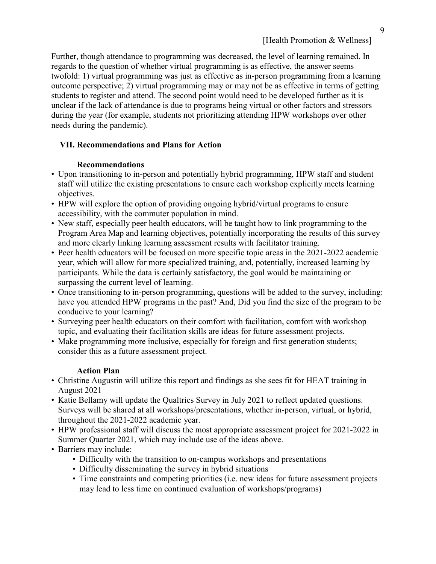Further, though attendance to programming was decreased, the level of learning remained. In regards to the question of whether virtual programming is as effective, the answer seems twofold: 1) virtual programming was just as effective as in-person programming from a learning outcome perspective; 2) virtual programming may or may not be as effective in terms of getting students to register and attend. The second point would need to be developed further as it is unclear if the lack of attendance is due to programs being virtual or other factors and stressors during the year (for example, students not prioritizing attending HPW workshops over other needs during the pandemic).

## **VII. Recommendations and Plans for Action**

## **Recommendations**

- Upon transitioning to in-person and potentially hybrid programming, HPW staff and student staff will utilize the existing presentations to ensure each workshop explicitly meets learning objectives.
- HPW will explore the option of providing ongoing hybrid/virtual programs to ensure accessibility, with the commuter population in mind.
- New staff, especially peer health educators, will be taught how to link programming to the Program Area Map and learning objectives, potentially incorporating the results of this survey and more clearly linking learning assessment results with facilitator training.
- Peer health educators will be focused on more specific topic areas in the 2021-2022 academic year, which will allow for more specialized training, and, potentially, increased learning by participants. While the data is certainly satisfactory, the goal would be maintaining or surpassing the current level of learning.
- Once transitioning to in-person programming, questions will be added to the survey, including: have you attended HPW programs in the past? And, Did you find the size of the program to be conducive to your learning?
- Surveying peer health educators on their comfort with facilitation, comfort with workshop topic, and evaluating their facilitation skills are ideas for future assessment projects.
- Make programming more inclusive, especially for foreign and first generation students; consider this as a future assessment project.

## **Action Plan**

- Christine Augustin will utilize this report and findings as she sees fit for HEAT training in August 2021
- Katie Bellamy will update the Qualtrics Survey in July 2021 to reflect updated questions. Surveys will be shared at all workshops/presentations, whether in-person, virtual, or hybrid, throughout the 2021-2022 academic year.
- HPW professional staff will discuss the most appropriate assessment project for 2021-2022 in Summer Quarter 2021, which may include use of the ideas above.
- Barriers may include:
	- Difficulty with the transition to on-campus workshops and presentations
	- Difficulty disseminating the survey in hybrid situations
	- Time constraints and competing priorities (i.e. new ideas for future assessment projects may lead to less time on continued evaluation of workshops/programs)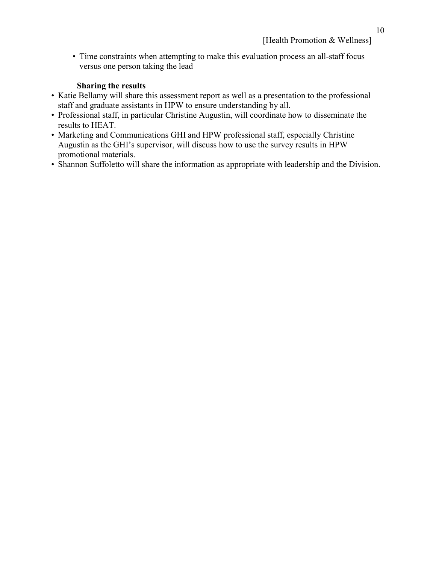• Time constraints when attempting to make this evaluation process an all-staff focus versus one person taking the lead

## **Sharing the results**

- Katie Bellamy will share this assessment report as well as a presentation to the professional staff and graduate assistants in HPW to ensure understanding by all.
- Professional staff, in particular Christine Augustin, will coordinate how to disseminate the results to HEAT.
- Marketing and Communications GHI and HPW professional staff, especially Christine Augustin as the GHI's supervisor, will discuss how to use the survey results in HPW promotional materials.
- Shannon Suffoletto will share the information as appropriate with leadership and the Division.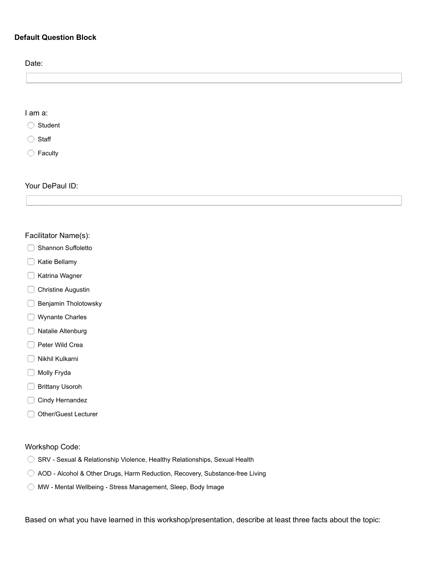## **Default Question Block**

| Date:            |  |  |  |
|------------------|--|--|--|
|                  |  |  |  |
|                  |  |  |  |
|                  |  |  |  |
| $I$ am a:        |  |  |  |
| Student          |  |  |  |
| $\bigcirc$ Staff |  |  |  |
| Faculty          |  |  |  |

Your DePaul ID:

#### Facilitator Name(s):

- Shannon Suffoletto
- Katie Bellamy
- Katrina Wagner
- **Christine Augustin**
- Benjamin Tholotowsky
- Wynante Charles
- Natalie Altenburg
- Peter Wild Crea
- Nikhil Kulkarni
- Molly Fryda
- □ Brittany Usoroh
- Cindy Hernandez
- Other/Guest Lecturer

#### Workshop Code:

- SRV Sexual & Relationship Violence, Healthy Relationships, Sexual Health
- AOD Alcohol & Other Drugs, Harm Reduction, Recovery, Substance-free Living
- MW Mental Wellbeing Stress Management, Sleep, Body Image

Based on what you have learned in this workshop/presentation, describe at least three facts about the topic: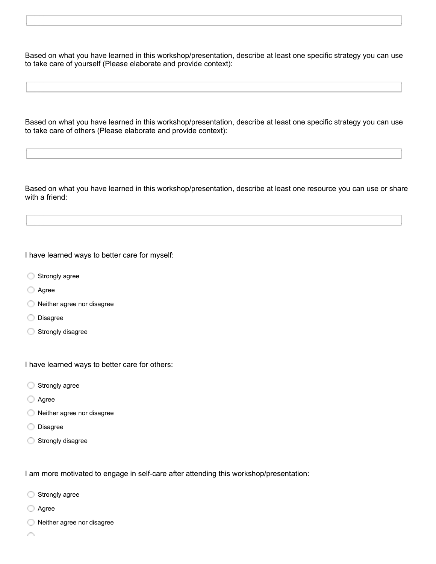Based on what you have learned in this workshop/presentation, describe at least one specific strategy you can use to take care of yourself (Please elaborate and provide context):

Based on what you have learned in this workshop/presentation, describe at least one specific strategy you can use to take care of others (Please elaborate and provide context):

Based on what you have learned in this workshop/presentation, describe at least one resource you can use or share with a friend:

I have learned ways to better care for myself:

- Strongly agree
- **Agree**
- Neither agree nor disagree
- O Disagree
- Strongly disagree

I have learned ways to better care for others:

- Strongly agree
- Agree
- Neither agree nor disagree
- Disagree
- Strongly disagree

I am more motivated to engage in self-care after attending this workshop/presentation:

- Strongly agree
- Agree
- Neither agree nor disagree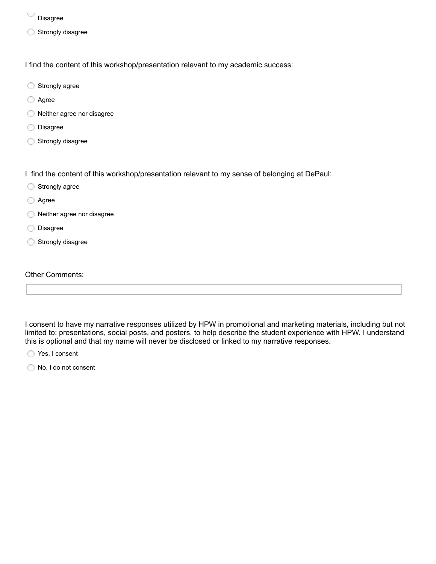- Disagree
- Strongly disagree

I find the content of this workshop/presentation relevant to my academic success:

- Strongly agree
- Agree
- Neither agree nor disagree
- O Disagree
- Strongly disagree

I find the content of this workshop/presentation relevant to my sense of belonging at DePaul:

- Strongly agree
- **Agree**
- Neither agree nor disagree
- O Disagree
- Strongly disagree

#### Other Comments:

I consent to have my narrative responses utilized by HPW in promotional and marketing materials, including but not limited to: presentations, social posts, and posters, to help describe the student experience with HPW. I understand this is optional and that my name will never be disclosed or linked to my narrative responses.

Yes, I consent

No, I do not consent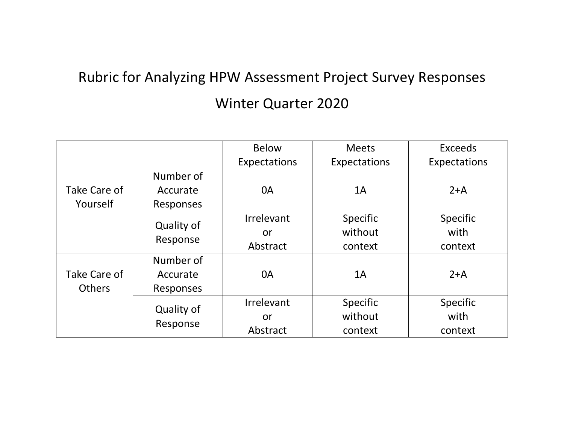# Rubric for Analyzing HPW Assessment Project Survey Responses Winter Quarter 2020

|               |                        | <b>Below</b> | <b>Meets</b>    | <b>Exceeds</b>  |
|---------------|------------------------|--------------|-----------------|-----------------|
|               |                        | Expectations | Expectations    | Expectations    |
|               | Number of              |              |                 |                 |
| Take Care of  | Accurate               | 0A           | 1A              | $2+A$           |
| Yourself      | <b>Responses</b>       |              |                 |                 |
|               |                        | Irrelevant   | <b>Specific</b> | <b>Specific</b> |
|               | Quality of             | or           | without         | with            |
|               | Response               | Abstract     | context         | context         |
|               | Number of              |              |                 |                 |
| Take Care of  | Accurate               | 0A           | 1A              | $2+A$           |
| <b>Others</b> | Responses              |              |                 |                 |
|               |                        | Irrelevant   | <b>Specific</b> | <b>Specific</b> |
|               | Quality of<br>Response | or           | without         | with            |
|               |                        | Abstract     | context         | context         |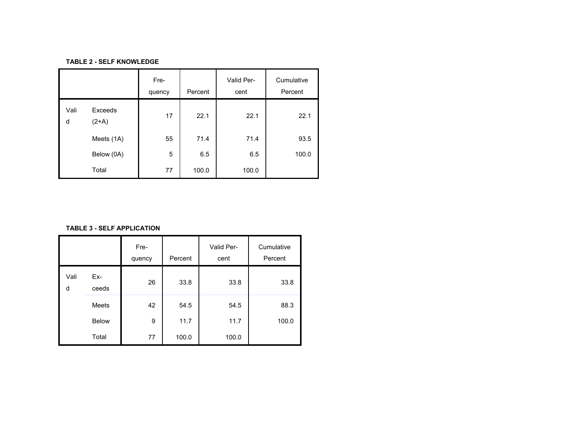#### **TABLE 2 - SELF KNOWLEDGE**

|           |                    | Fre-<br>quency | Percent | Valid Per-<br>cent | Cumulative<br>Percent |
|-----------|--------------------|----------------|---------|--------------------|-----------------------|
| Vali<br>d | Exceeds<br>$(2+A)$ | 17             | 22.1    | 22.1               | 22.1                  |
|           | Meets (1A)         | 55             | 71.4    | 71.4               | 93.5                  |
|           | Below (0A)         | 5              | 6.5     | 6.5                | 100.0                 |
|           | Total              | 77             | 100.0   | 100.0              |                       |

**TABLE 3 - SELF APPLICATION**

|           |              | Fre-<br>quency | Percent | Valid Per-<br>cent | Cumulative<br>Percent |
|-----------|--------------|----------------|---------|--------------------|-----------------------|
| Vali<br>d | Ex-<br>ceeds | 26             | 33.8    | 33.8               | 33.8                  |
|           | <b>Meets</b> | 42             | 54.5    | 54.5               | 88.3                  |
|           | <b>Below</b> | 9              | 11.7    | 11.7               | 100.0                 |
|           | Total        | 77             | 100.0   | 100.0              |                       |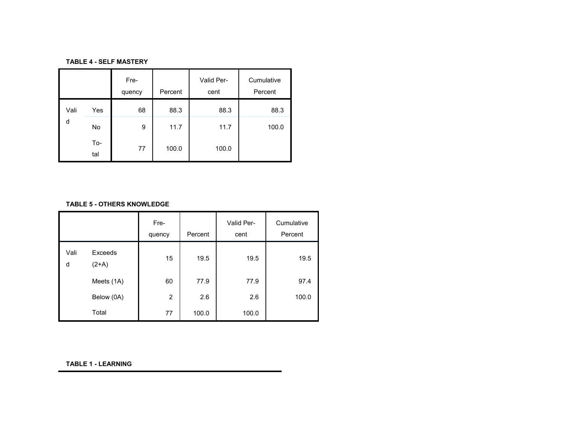#### **TABLE 4 - SELF MASTERY**

|      |            | Fre-<br>quency | Percent | Valid Per-<br>cent | Cumulative<br>Percent |
|------|------------|----------------|---------|--------------------|-----------------------|
| Vali | Yes        | 68             | 88.3    | 88.3               | 88.3                  |
| d    | No         | 9              | 11.7    | 11.7               | 100.0                 |
|      | To-<br>tal | 77             | 100.0   | 100.0              |                       |

#### **TABLE 5 - OTHERS KNOWLEDGE**

|           |                    | Fre-<br>quency | Percent | Valid Per-<br>cent | Cumulative<br>Percent |
|-----------|--------------------|----------------|---------|--------------------|-----------------------|
| Vali<br>d | Exceeds<br>$(2+A)$ | 15             | 19.5    | 19.5               | 19.5                  |
|           | Meets (1A)         | 60             | 77.9    | 77.9               | 97.4                  |
|           | Below (0A)         | $\overline{2}$ | 2.6     | 2.6                | 100.0                 |
|           | Total              | 77             | 100.0   | 100.0              |                       |

#### **TABLE 1 - LEARNING**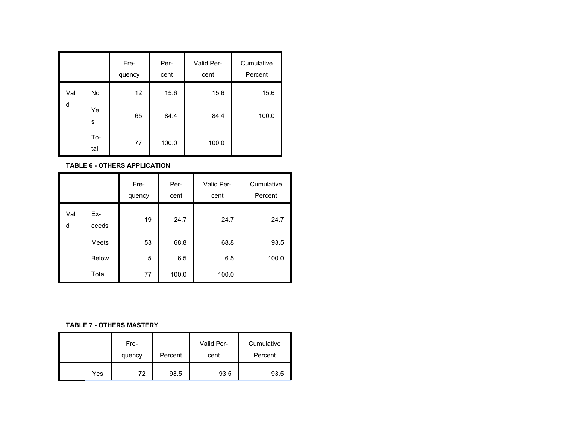|      |            | Fre-<br>quency | Per-<br>cent | Valid Per-<br>cent | Cumulative<br>Percent |
|------|------------|----------------|--------------|--------------------|-----------------------|
| Vali | No         | 12             | 15.6         | 15.6               | 15.6                  |
| d    | Ye<br>s    | 65             | 84.4         | 84.4               | 100.0                 |
|      | To-<br>tal | 77             | 100.0        | 100.0              |                       |

**TABLE 6 - OTHERS APPLICATION**

|           |              | Fre-<br>quency | Per-<br>cent | Valid Per-<br>cent | Cumulative<br>Percent |
|-----------|--------------|----------------|--------------|--------------------|-----------------------|
| Vali<br>d | Ex-<br>ceeds | 19             | 24.7         | 24.7               | 24.7                  |
|           | <b>Meets</b> | 53             | 68.8         | 68.8               | 93.5                  |
|           | <b>Below</b> | 5              | 6.5          | 6.5                | 100.0                 |
|           | Total        | 77             | 100.0        | 100.0              |                       |

#### **TABLE 7 - OTHERS MASTERY**

|     | Fre-<br>quency | Percent | Valid Per-<br>cent | Cumulative<br>Percent |
|-----|----------------|---------|--------------------|-----------------------|
| Yes | 72             | 93.5    | 93.5               | 93.5                  |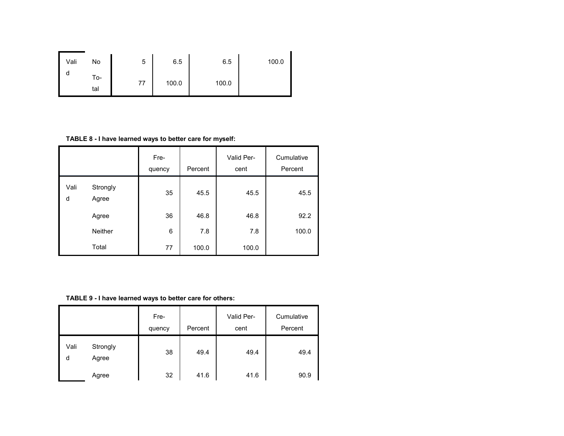| Vali | No         | 5  | 6.5   | 6.5   | 100.0 |
|------|------------|----|-------|-------|-------|
| ч    | To-<br>tal | 77 | 100.0 | 100.0 |       |

**TABLE 8 - I have learned ways to better care for myself:**

|           |                   | Fre-<br>quency | Percent | Valid Per-<br>cent | Cumulative<br>Percent |
|-----------|-------------------|----------------|---------|--------------------|-----------------------|
| Vali<br>d | Strongly<br>Agree | 35             | 45.5    | 45.5               | 45.5                  |
|           | Agree             | 36             | 46.8    | 46.8               | 92.2                  |
|           | <b>Neither</b>    | 6              | 7.8     | 7.8                | 100.0                 |
|           | Total             | 77             | 100.0   | 100.0              |                       |

**TABLE 9 - I have learned ways to better care for others:**

|           |                   | Fre-<br>quency | Percent | Valid Per-<br>cent | Cumulative<br>Percent |
|-----------|-------------------|----------------|---------|--------------------|-----------------------|
| Vali<br>d | Strongly<br>Agree | 38             | 49.4    | 49.4               | 49.4                  |
|           | Agree             | 32             | 41.6    | 41.6               | 90.9                  |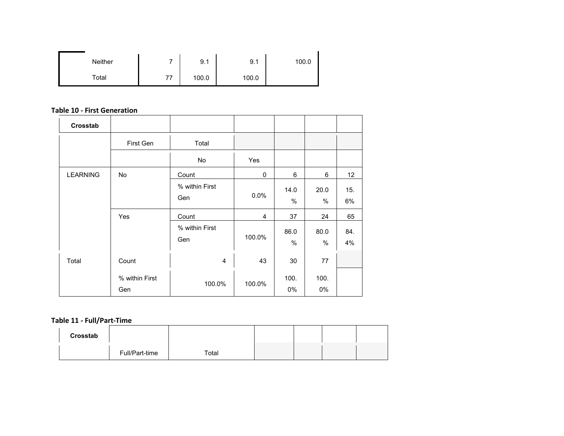| <b>Neither</b> |    | 9.1   | 9.1   | 100.0 |
|----------------|----|-------|-------|-------|
| Total          | 77 | 100.0 | 100.0 |       |

#### **Table 10 - First Generation**

| Crosstab        |                |                |             |      |      |     |
|-----------------|----------------|----------------|-------------|------|------|-----|
|                 | First Gen      | Total          |             |      |      |     |
|                 |                | No             | Yes         |      |      |     |
| <b>LEARNING</b> | No             | Count          | $\mathbf 0$ | 6    | 6    | 12  |
|                 |                | % within First | 0.0%        | 14.0 | 20.0 | 15. |
|                 |                | Gen            |             | %    | %    | 6%  |
|                 | Yes            | Count          | 4           | 37   | 24   | 65  |
|                 |                | % within First | 100.0%      | 86.0 | 80.0 | 84. |
|                 |                | Gen            |             | $\%$ | %    | 4%  |
| Total           | Count          | $\overline{4}$ | 43          | 30   | 77   |     |
|                 | % within First | 100.0%         | 100.0%      | 100. | 100. |     |
|                 | Gen            |                |             | 0%   | 0%   |     |

## **Table 11 - Full/Part-Time**

| Crosstab |                |       |  |  |
|----------|----------------|-------|--|--|
|          | Full/Part-time | Total |  |  |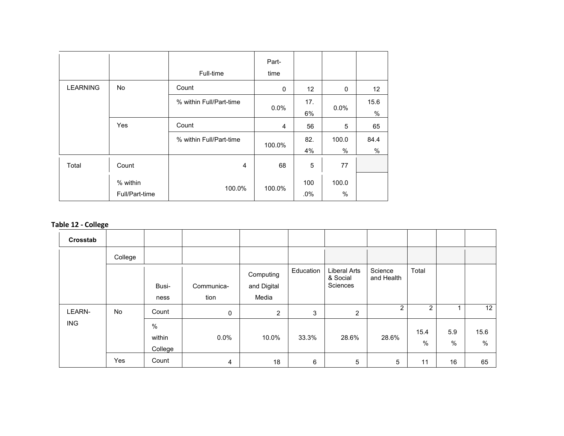|                 |                | Full-time               | Part-<br>time |                 |       |            |
|-----------------|----------------|-------------------------|---------------|-----------------|-------|------------|
| <b>LEARNING</b> | <b>No</b>      | Count                   | $\mathbf 0$   | 12 <sup>2</sup> | 0     | 12         |
|                 |                | % within Full/Part-time | 0.0%          | 17.             | 0.0%  | 15.6       |
|                 | Yes            | Count                   | 4             | 6%<br>56        | 5     | $\%$<br>65 |
|                 |                | % within Full/Part-time | 100.0%        | 82.             | 100.0 | 84.4       |
|                 |                |                         |               | 4%              | %     | $\%$       |
| Total           | Count          | 4                       | 68            | 5               | 77    |            |
|                 | % within       | 100.0%                  | 100.0%        | 100             | 100.0 |            |
|                 | Full/Part-time |                         |               | .0%             | %     |            |

## **Table 12 - College**

| Crosstab   |           |                           |                |                          |           |                                             |                       |                |             |           |
|------------|-----------|---------------------------|----------------|--------------------------|-----------|---------------------------------------------|-----------------------|----------------|-------------|-----------|
|            | College   |                           |                |                          |           |                                             |                       |                |             |           |
|            |           | Busi-                     | Communica-     | Computing<br>and Digital | Education | <b>Liberal Arts</b><br>& Social<br>Sciences | Science<br>and Health | Total          |             |           |
|            |           | ness                      | tion           | Media                    |           |                                             |                       |                |             |           |
| LEARN-     | <b>No</b> | Count                     | $\mathbf 0$    | $\overline{c}$           | 3         | 2                                           | 2                     | $\overline{2}$ |             | 12        |
| <b>ING</b> |           | $\%$<br>within<br>College | 0.0%           | 10.0%                    | 33.3%     | 28.6%                                       | 28.6%                 | 15.4<br>%      | 5.9<br>$\%$ | 15.6<br>% |
|            | Yes       | Count                     | $\overline{4}$ | 18                       | 6         | 5                                           | $\sqrt{5}$            | 11             | 16          | 65        |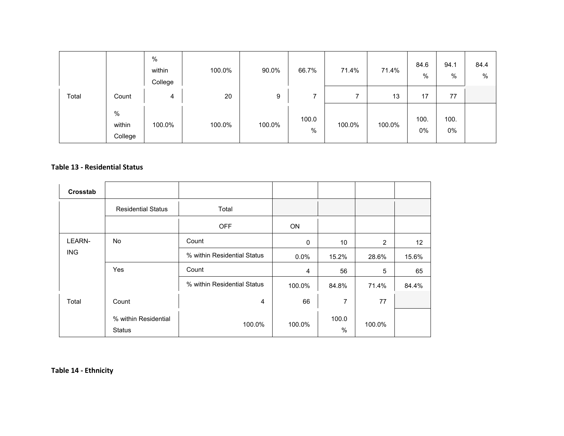|       |                        | $\%$<br>within<br>College | 100.0% | 90.0%  | 66.7%         | 71.4%  | 71.4%  | 84.6<br>%  | 94.1<br>%  | 84.4<br>% |
|-------|------------------------|---------------------------|--------|--------|---------------|--------|--------|------------|------------|-----------|
| Total | Count                  | 4                         | 20     | 9      | ⇁             | ⇁      | 13     | 17         | 77         |           |
|       | %<br>within<br>College | 100.0%                    | 100.0% | 100.0% | 100.0<br>$\%$ | 100.0% | 100.0% | 100.<br>0% | 100.<br>0% |           |

#### **Table 13 - Residential Status**

| Crosstab   |                                       |                             |             |                 |                |       |
|------------|---------------------------------------|-----------------------------|-------------|-----------------|----------------|-------|
|            | <b>Residential Status</b>             | Total                       |             |                 |                |       |
|            |                                       | <b>OFF</b>                  | ON          |                 |                |       |
| LEARN-     | <b>No</b>                             | Count                       | $\mathbf 0$ | 10 <sup>°</sup> | $\overline{2}$ | 12    |
| <b>ING</b> |                                       | % within Residential Status | $0.0\%$     | 15.2%           | 28.6%          | 15.6% |
|            | Yes                                   | Count                       | 4           | 56              | 5              | 65    |
|            |                                       | % within Residential Status | 100.0%      | 84.8%           | 71.4%          | 84.4% |
| Total      | Count                                 | 4                           | 66          | 7               | 77             |       |
|            | % within Residential<br><b>Status</b> | 100.0%                      | 100.0%      | 100.0<br>$\%$   | 100.0%         |       |

**Table 14 - Ethnicity**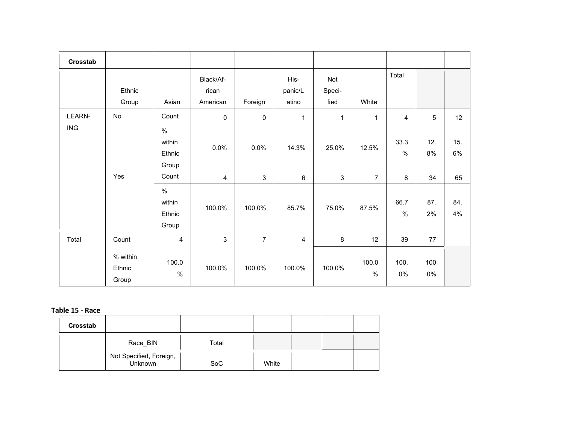| Crosstab      |                             |                                   |                                |                |                          |                       |                |               |                |           |
|---------------|-----------------------------|-----------------------------------|--------------------------------|----------------|--------------------------|-----------------------|----------------|---------------|----------------|-----------|
|               | Ethnic<br>Group             | Asian                             | Black/Af-<br>rican<br>American | Foreign        | His-<br>panic/L<br>atino | Not<br>Speci-<br>fied | White          | Total         |                |           |
| <b>LEARN-</b> | No                          | Count                             | $\mathsf 0$                    | 0              | $\mathbf 1$              | 1                     | $\mathbf{1}$   | 4             | $\overline{5}$ | 12        |
| <b>ING</b>    |                             | $\%$<br>within<br>Ethnic<br>Group | 0.0%                           | 0.0%           | 14.3%                    | 25.0%                 | 12.5%          | 33.3<br>$\%$  | 12.<br>$8\%$   | 15.<br>6% |
|               | Yes                         | Count                             | 4                              | 3              | $\,6\,$                  | $\mathsf 3$           | $\overline{7}$ | 8             | 34             | 65        |
|               |                             | $\%$<br>within<br>Ethnic<br>Group | 100.0%                         | 100.0%         | 85.7%                    | 75.0%                 | 87.5%          | 66.7<br>$\%$  | 87.<br>2%      | 84.<br>4% |
| Total         | Count                       | $\overline{\mathbf{4}}$           | 3                              | $\overline{7}$ | $\overline{\mathbf{4}}$  | 8                     | 12             | 39            | 77             |           |
|               | % within<br>Ethnic<br>Group | 100.0<br>$\%$                     | 100.0%                         | 100.0%         | 100.0%                   | 100.0%                | 100.0<br>$\%$  | 100.<br>$0\%$ | 100<br>.0%     |           |

## **Table 15 - Race**

| Crosstab |                                    |            |       |  |  |
|----------|------------------------------------|------------|-------|--|--|
|          | Race BIN                           | Total      |       |  |  |
|          | Not Specified, Foreign,<br>Unknown | <b>SoC</b> | White |  |  |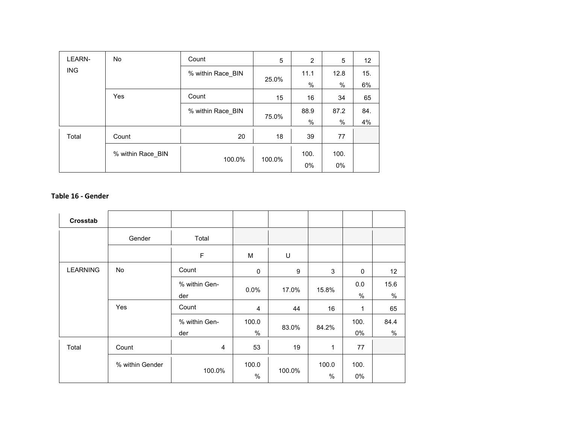| <b>LEARN-</b> | <b>No</b>         | Count             | 5      | 2             | 5    | 12  |
|---------------|-------------------|-------------------|--------|---------------|------|-----|
| <b>ING</b>    |                   | % within Race_BIN | 25.0%  | 11.1          | 12.8 | 15. |
|               |                   |                   |        | %             | $\%$ | 6%  |
|               | Yes               | Count             | 15     | 16            | 34   | 65  |
|               |                   | % within Race_BIN | 75.0%  | 88.9          | 87.2 | 84. |
|               |                   |                   |        | $\frac{0}{0}$ | $\%$ | 4%  |
| Total         | Count             | 20                | 18     | 39            | 77   |     |
|               | % within Race BIN |                   |        | 100.          | 100. |     |
|               |                   | 100.0%            | 100.0% | $0\%$         | 0%   |     |

### **Table 16 - Gender**

| Crosstab        |                 |                      |                |        |             |             |              |
|-----------------|-----------------|----------------------|----------------|--------|-------------|-------------|--------------|
|                 | Gender          | Total                |                |        |             |             |              |
|                 |                 | $\mathsf F$          | M              | U      |             |             |              |
| <b>LEARNING</b> | No              | Count                | $\mathbf 0$    | 9      | 3           | $\mathbf 0$ | 12           |
|                 |                 | % within Gen-<br>der | 0.0%           | 17.0%  | 15.8%       | 0.0<br>$\%$ | 15.6<br>$\%$ |
|                 | Yes             | Count                | $\overline{4}$ | 44     | 16          | 1           | 65           |
|                 |                 | % within Gen-<br>der | 100.0<br>$\%$  | 83.0%  | 84.2%       | 100.<br>0%  | 84.4<br>$\%$ |
| Total           | Count           | $\overline{4}$       | 53             | 19     | $\mathbf 1$ | 77          |              |
|                 | % within Gender | 100.0%               | 100.0<br>%     | 100.0% | 100.0<br>%  | 100.<br>0%  |              |